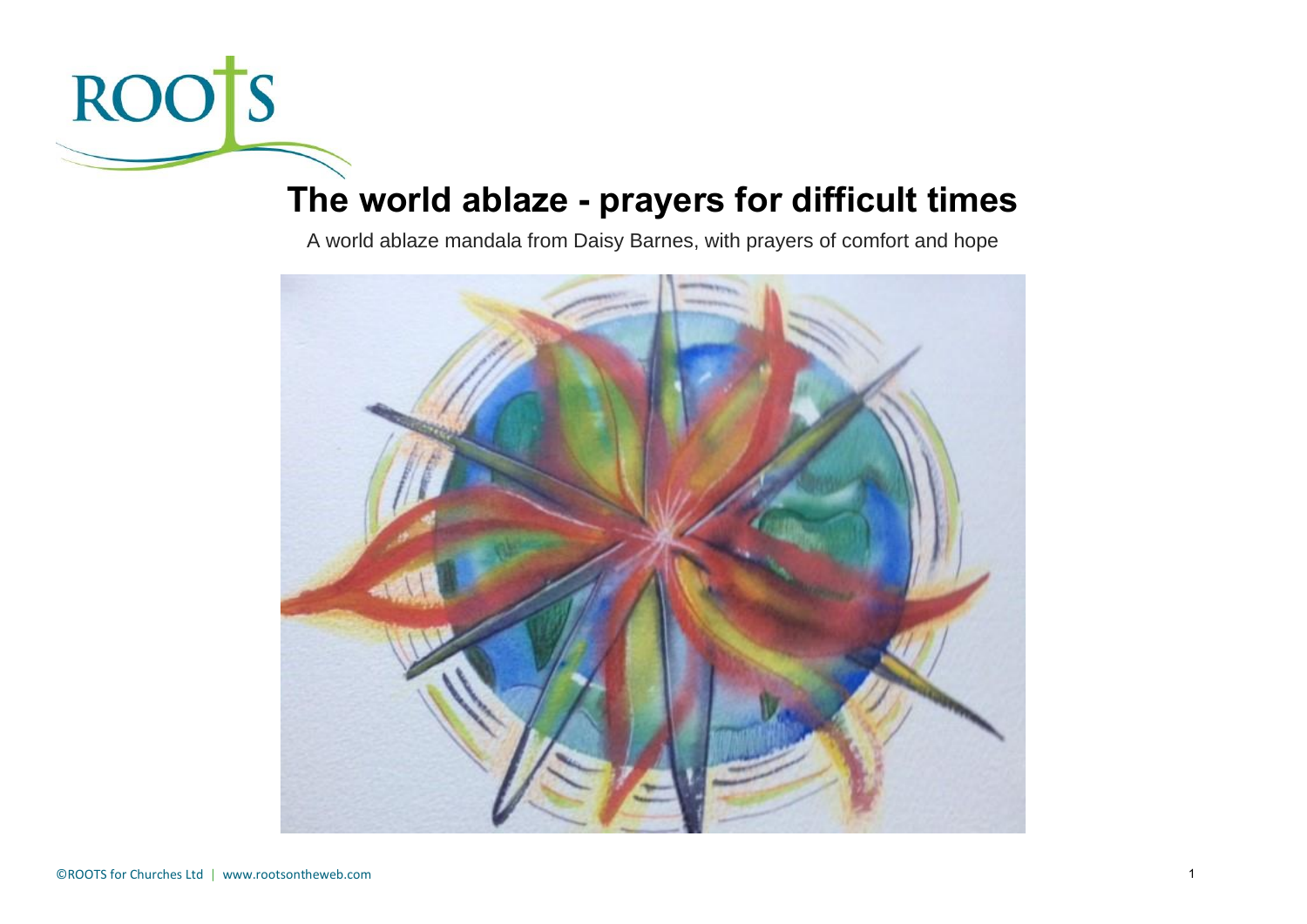

# **The world ablaze - prayers for difficult times**

A world ablaze mandala from Daisy Barnes, with prayers of comfort and hope

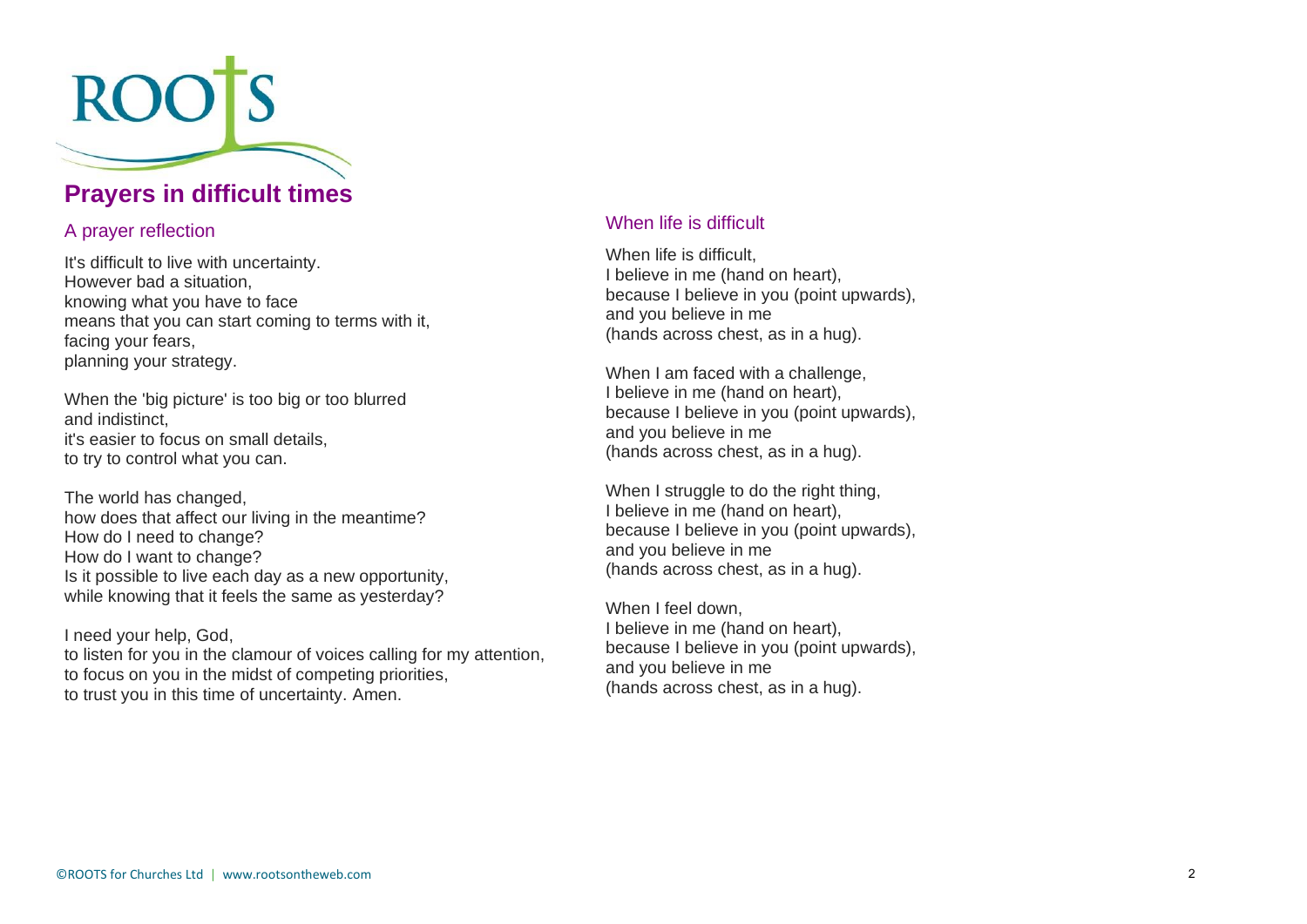

## **Prayers in difficult times**

#### A prayer reflection

It's difficult to live with uncertainty. However bad a situation, knowing what you have to face means that you can start coming to terms with it, facing your fears, planning your strategy.

When the 'big picture' is too big or too blurred and indistinct, it's easier to focus on small details, to try to control what you can.

The world has changed, how does that affect our living in the meantime? How do I need to change? How do I want to change? Is it possible to live each day as a new opportunity, while knowing that it feels the same as yesterday?

I need your help, God, to listen for you in the clamour of voices calling for my attention, to focus on you in the midst of competing priorities, to trust you in this time of uncertainty. Amen.

#### When life is difficult

When life is difficult. I believe in me (hand on heart), because I believe in you (point upwards), and you believe in me (hands across chest, as in a hug).

When I am faced with a challenge, I believe in me (hand on heart), because I believe in you (point upwards), and you believe in me (hands across chest, as in a hug).

When I struggle to do the right thing, I believe in me (hand on heart), because I believe in you (point upwards), and you believe in me (hands across chest, as in a hug).

When I feel down, I believe in me (hand on heart), because I believe in you (point upwards), and you believe in me (hands across chest, as in a hug).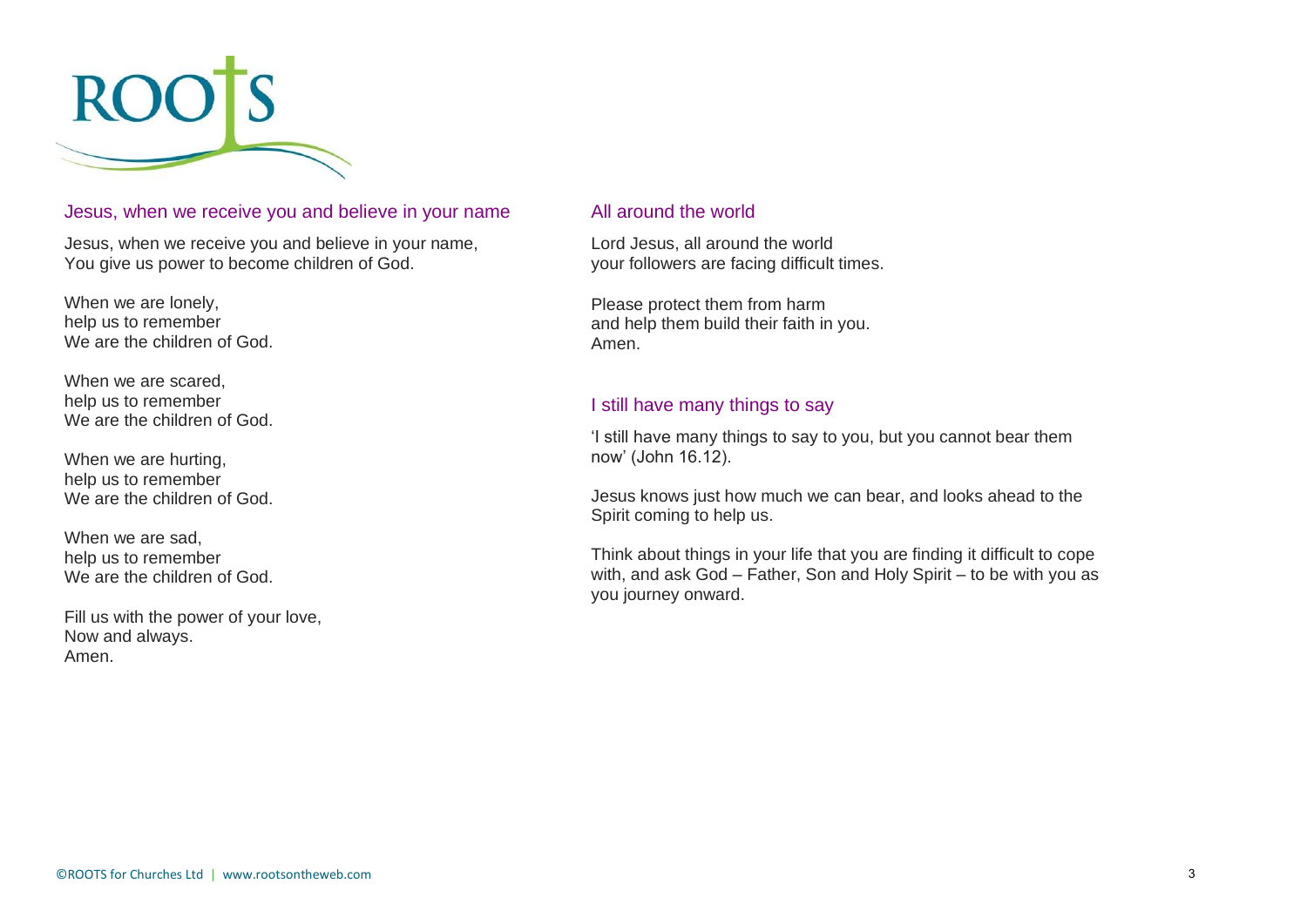

#### Jesus, when we receive you and believe in your name

Jesus, when we receive you and believe in your name, You give us power to become children of God.

When we are lonely, help us to remember We are the children of God.

When we are scared, help us to remember We are the children of God.

When we are hurting. help us to remember We are the children of God.

When we are sad, help us to remember We are the children of God.

Fill us with the power of your love, Now and always. Amen.

#### All around the world

Lord Jesus, all around the world your followers are facing difficult times.

Please protect them from harm and help them build their faith in you. Amen.

#### I still have many things to say

'I still have many things to say to you, but you cannot bear them now' (John 16.12).

Jesus knows just how much we can bear, and looks ahead to the Spirit coming to help us.

Think about things in your life that you are finding it difficult to cope with, and ask God – Father, Son and Holy Spirit – to be with you as you journey onward.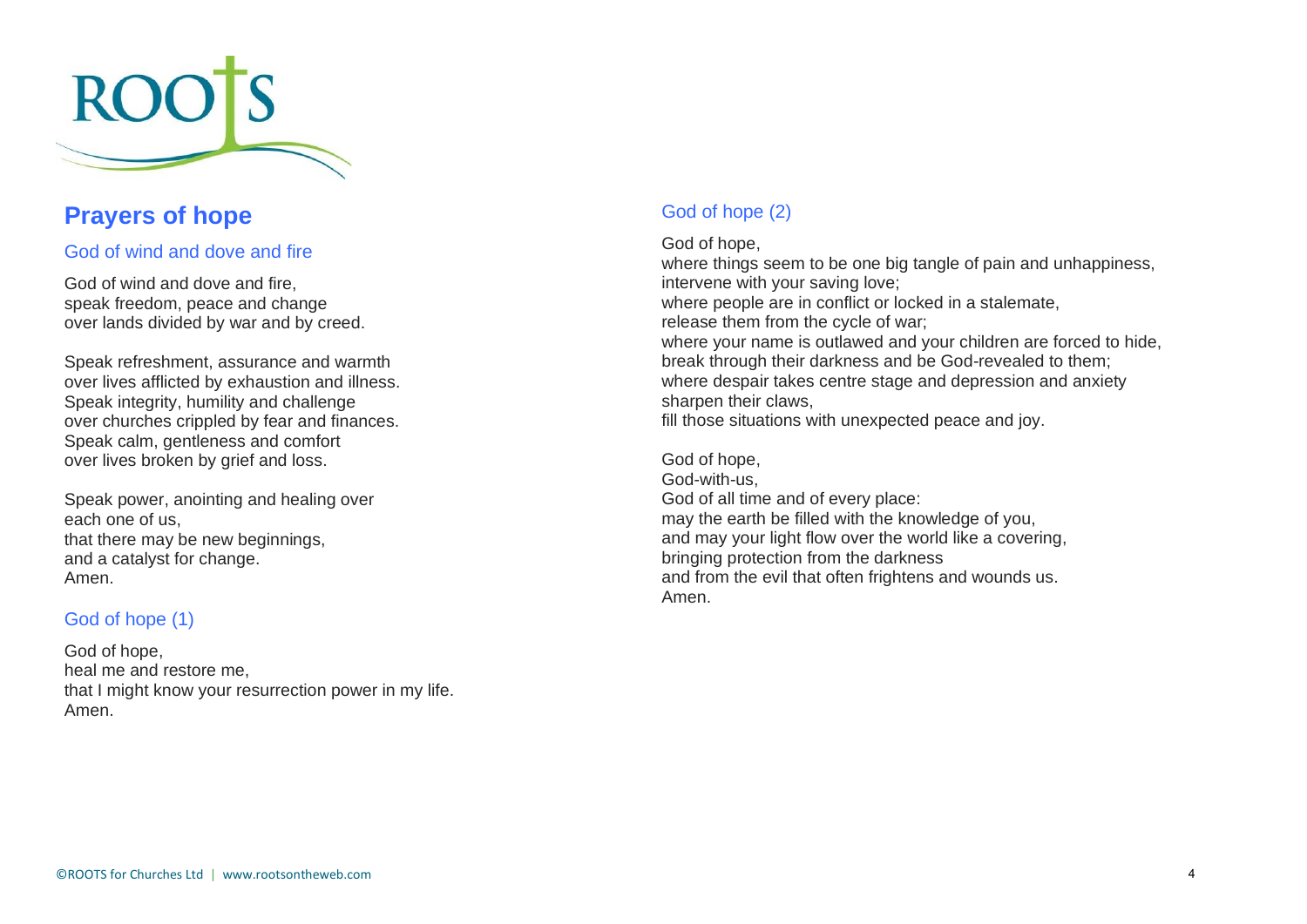

## **Prayers of hope**

#### God of wind and dove and fire

God of wind and dove and fire, speak freedom, peace and change over lands divided by war and by creed.

Speak refreshment, assurance and warmth over lives afflicted by exhaustion and illness. Speak integrity, humility and challenge over churches crippled by fear and finances. Speak calm, gentleness and comfort over lives broken by grief and loss.

Speak power, anointing and healing over each one of us, that there may be new beginnings, and a catalyst for change. Amen.

#### God of hope (1)

God of hope, heal me and restore me, that I might know your resurrection power in my life. Amen.

### God of hope (2)

#### God of hope,

where things seem to be one big tangle of pain and unhappiness, intervene with your saving love; where people are in conflict or locked in a stalemate. release them from the cycle of war; where your name is outlawed and your children are forced to hide, break through their darkness and be God-revealed to them; where despair takes centre stage and depression and anxiety sharpen their claws, fill those situations with unexpected peace and joy.

#### God of hope, God-with-us, God of all time and of every place: may the earth be filled with the knowledge of you, and may your light flow over the world like a covering, bringing protection from the darkness and from the evil that often frightens and wounds us. Amen.